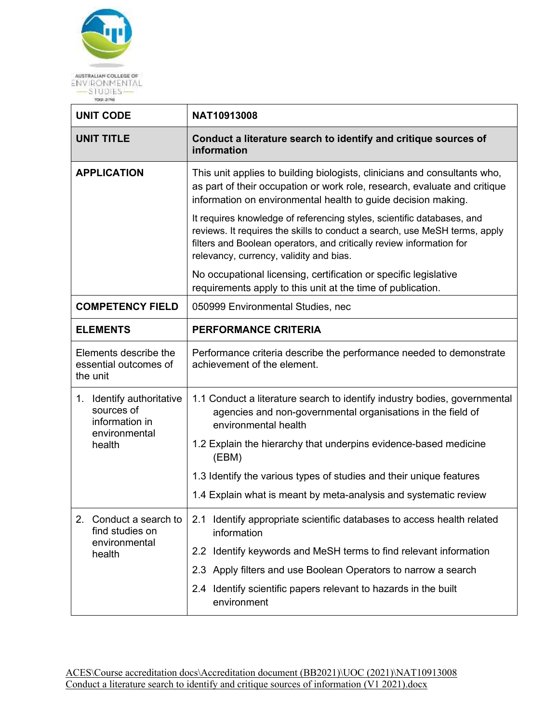

| <b>UNIT CODE</b>                                                           | NAT10913008                                                                                                                                                                                                                                                             |  |  |
|----------------------------------------------------------------------------|-------------------------------------------------------------------------------------------------------------------------------------------------------------------------------------------------------------------------------------------------------------------------|--|--|
| <b>UNIT TITLE</b>                                                          | Conduct a literature search to identify and critique sources of<br>information                                                                                                                                                                                          |  |  |
| <b>APPLICATION</b>                                                         | This unit applies to building biologists, clinicians and consultants who,<br>as part of their occupation or work role, research, evaluate and critique<br>information on environmental health to guide decision making.                                                 |  |  |
|                                                                            | It requires knowledge of referencing styles, scientific databases, and<br>reviews. It requires the skills to conduct a search, use MeSH terms, apply<br>filters and Boolean operators, and critically review information for<br>relevancy, currency, validity and bias. |  |  |
|                                                                            | No occupational licensing, certification or specific legislative<br>requirements apply to this unit at the time of publication.                                                                                                                                         |  |  |
| <b>COMPETENCY FIELD</b>                                                    | 050999 Environmental Studies, nec                                                                                                                                                                                                                                       |  |  |
| <b>ELEMENTS</b>                                                            | <b>PERFORMANCE CRITERIA</b>                                                                                                                                                                                                                                             |  |  |
| Elements describe the<br>essential outcomes of<br>the unit                 | Performance criteria describe the performance needed to demonstrate<br>achievement of the element.                                                                                                                                                                      |  |  |
| 1. Identify authoritative<br>sources of<br>information in<br>environmental | 1.1 Conduct a literature search to identify industry bodies, governmental<br>agencies and non-governmental organisations in the field of<br>environmental health                                                                                                        |  |  |
| health                                                                     | 1.2 Explain the hierarchy that underpins evidence-based medicine<br>(EBM)                                                                                                                                                                                               |  |  |
|                                                                            | 1.3 Identify the various types of studies and their unique features                                                                                                                                                                                                     |  |  |
|                                                                            | 1.4 Explain what is meant by meta-analysis and systematic review                                                                                                                                                                                                        |  |  |
| 2.<br>Conduct a search to<br>find studies on<br>environmental              | 2.1 Identify appropriate scientific databases to access health related<br>information                                                                                                                                                                                   |  |  |
| health                                                                     | 2.2 Identify keywords and MeSH terms to find relevant information                                                                                                                                                                                                       |  |  |
|                                                                            | 2.3 Apply filters and use Boolean Operators to narrow a search                                                                                                                                                                                                          |  |  |
|                                                                            | 2.4 Identify scientific papers relevant to hazards in the built<br>environment                                                                                                                                                                                          |  |  |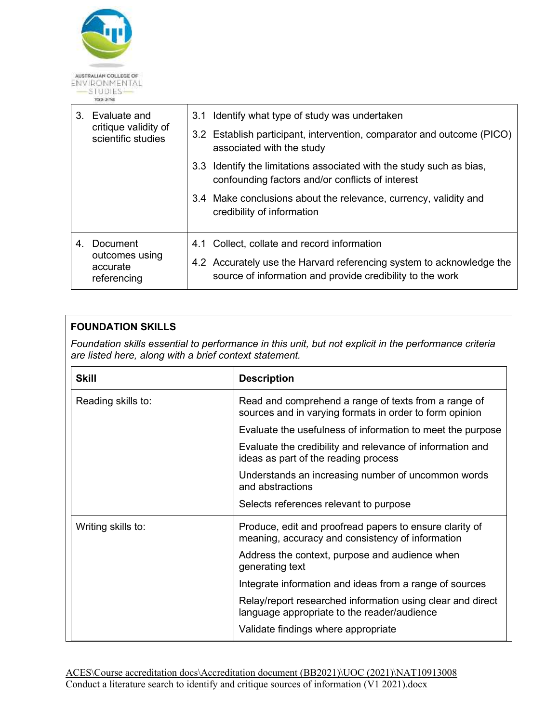

| 3. | Evaluate and<br>critique validity of<br>scientific studies | 3.1 Identify what type of study was undertaken                                                                                    |
|----|------------------------------------------------------------|-----------------------------------------------------------------------------------------------------------------------------------|
|    |                                                            | 3.2 Establish participant, intervention, comparator and outcome (PICO)<br>associated with the study                               |
|    |                                                            | 3.3 Identify the limitations associated with the study such as bias,<br>confounding factors and/or conflicts of interest          |
|    |                                                            | 3.4 Make conclusions about the relevance, currency, validity and<br>credibility of information                                    |
| 4. | Document<br>outcomes using<br>accurate<br>referencing      | 4.1 Collect, collate and record information                                                                                       |
|    |                                                            | 4.2 Accurately use the Harvard referencing system to acknowledge the<br>source of information and provide credibility to the work |

## **FOUNDATION SKILLS**

*Foundation skills essential to performance in this unit, but not explicit in the performance criteria are listed here, along with a brief context statement.* 

| <b>Skill</b>       | <b>Description</b>                                                                                              |
|--------------------|-----------------------------------------------------------------------------------------------------------------|
| Reading skills to: | Read and comprehend a range of texts from a range of<br>sources and in varying formats in order to form opinion |
|                    | Evaluate the usefulness of information to meet the purpose                                                      |
|                    | Evaluate the credibility and relevance of information and<br>ideas as part of the reading process               |
|                    | Understands an increasing number of uncommon words<br>and abstractions                                          |
|                    | Selects references relevant to purpose                                                                          |
| Writing skills to: | Produce, edit and proofread papers to ensure clarity of<br>meaning, accuracy and consistency of information     |
|                    | Address the context, purpose and audience when<br>generating text                                               |
|                    | Integrate information and ideas from a range of sources                                                         |
|                    | Relay/report researched information using clear and direct<br>language appropriate to the reader/audience       |
|                    | Validate findings where appropriate                                                                             |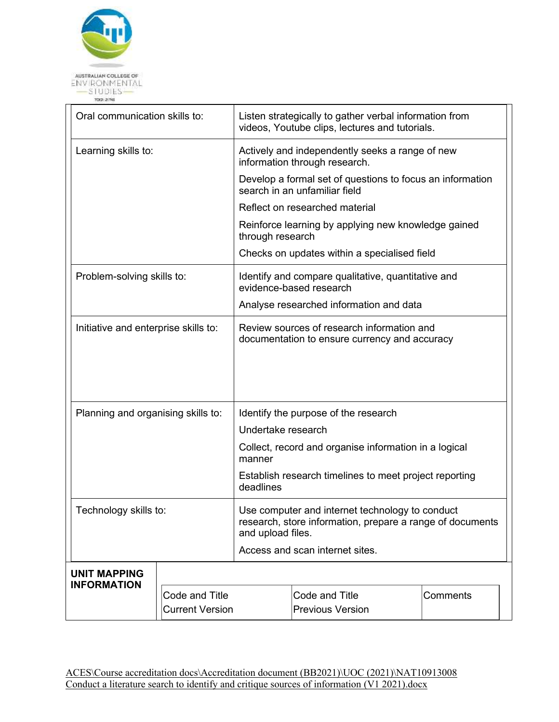

| Oral communication skills to:        |                        |           | Listen strategically to gather verbal information from<br>videos, Youtube clips, lectures and tutorials.                          |          |  |  |
|--------------------------------------|------------------------|-----------|-----------------------------------------------------------------------------------------------------------------------------------|----------|--|--|
| Learning skills to:                  |                        |           | Actively and independently seeks a range of new<br>information through research.                                                  |          |  |  |
|                                      |                        |           | Develop a formal set of questions to focus an information<br>search in an unfamiliar field                                        |          |  |  |
|                                      |                        |           | Reflect on researched material                                                                                                    |          |  |  |
|                                      |                        |           | Reinforce learning by applying new knowledge gained<br>through research                                                           |          |  |  |
|                                      |                        |           | Checks on updates within a specialised field                                                                                      |          |  |  |
| Problem-solving skills to:           |                        |           | Identify and compare qualitative, quantitative and<br>evidence-based research                                                     |          |  |  |
|                                      |                        |           | Analyse researched information and data                                                                                           |          |  |  |
| Initiative and enterprise skills to: |                        |           | Review sources of research information and<br>documentation to ensure currency and accuracy                                       |          |  |  |
| Planning and organising skills to:   |                        |           | Identify the purpose of the research                                                                                              |          |  |  |
|                                      |                        |           | Undertake research                                                                                                                |          |  |  |
| Technology skills to:                |                        | manner    | Collect, record and organise information in a logical                                                                             |          |  |  |
|                                      |                        | deadlines | Establish research timelines to meet project reporting                                                                            |          |  |  |
|                                      |                        |           | Use computer and internet technology to conduct<br>research, store information, prepare a range of documents<br>and upload files. |          |  |  |
|                                      |                        |           | Access and scan internet sites.                                                                                                   |          |  |  |
| <b>UNIT MAPPING</b>                  |                        |           |                                                                                                                                   |          |  |  |
| <b>INFORMATION</b>                   | Code and Title         |           | Code and Title                                                                                                                    | Comments |  |  |
|                                      | <b>Current Version</b> |           | <b>Previous Version</b>                                                                                                           |          |  |  |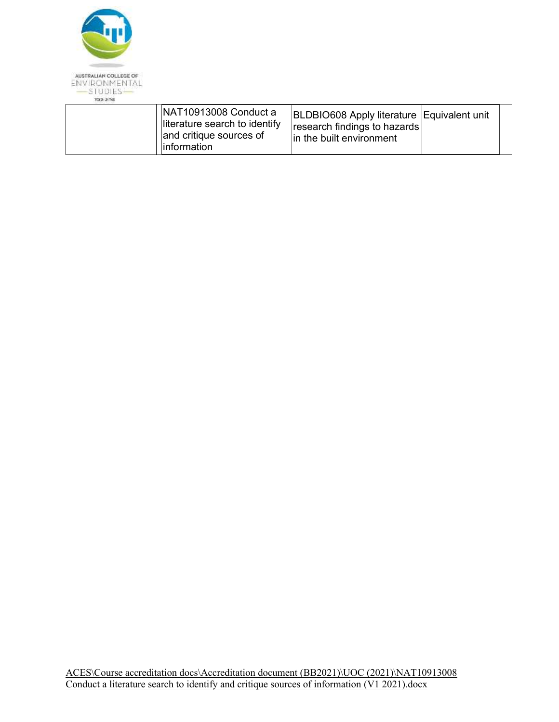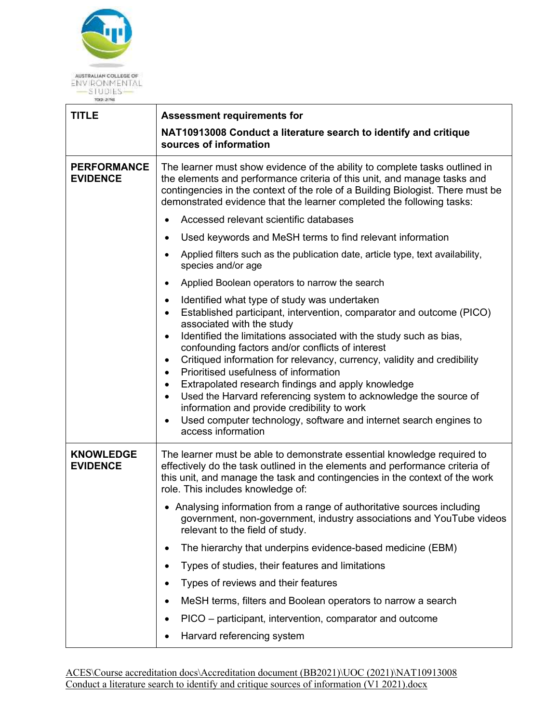

| <b>TITLE</b>                          | <b>Assessment requirements for</b>                                                                                                                                                                                                                                                                                                                                                                                                                                                                                                                                                                                                                                                                                                                                          |  |  |
|---------------------------------------|-----------------------------------------------------------------------------------------------------------------------------------------------------------------------------------------------------------------------------------------------------------------------------------------------------------------------------------------------------------------------------------------------------------------------------------------------------------------------------------------------------------------------------------------------------------------------------------------------------------------------------------------------------------------------------------------------------------------------------------------------------------------------------|--|--|
|                                       | NAT10913008 Conduct a literature search to identify and critique<br>sources of information                                                                                                                                                                                                                                                                                                                                                                                                                                                                                                                                                                                                                                                                                  |  |  |
|                                       |                                                                                                                                                                                                                                                                                                                                                                                                                                                                                                                                                                                                                                                                                                                                                                             |  |  |
| <b>PERFORMANCE</b><br><b>EVIDENCE</b> | The learner must show evidence of the ability to complete tasks outlined in<br>the elements and performance criteria of this unit, and manage tasks and<br>contingencies in the context of the role of a Building Biologist. There must be<br>demonstrated evidence that the learner completed the following tasks:                                                                                                                                                                                                                                                                                                                                                                                                                                                         |  |  |
|                                       | Accessed relevant scientific databases                                                                                                                                                                                                                                                                                                                                                                                                                                                                                                                                                                                                                                                                                                                                      |  |  |
|                                       | Used keywords and MeSH terms to find relevant information                                                                                                                                                                                                                                                                                                                                                                                                                                                                                                                                                                                                                                                                                                                   |  |  |
|                                       | Applied filters such as the publication date, article type, text availability,<br>species and/or age                                                                                                                                                                                                                                                                                                                                                                                                                                                                                                                                                                                                                                                                        |  |  |
|                                       | Applied Boolean operators to narrow the search<br>$\bullet$                                                                                                                                                                                                                                                                                                                                                                                                                                                                                                                                                                                                                                                                                                                 |  |  |
|                                       | Identified what type of study was undertaken<br>$\bullet$<br>Established participant, intervention, comparator and outcome (PICO)<br>$\bullet$<br>associated with the study<br>Identified the limitations associated with the study such as bias,<br>$\bullet$<br>confounding factors and/or conflicts of interest<br>Critiqued information for relevancy, currency, validity and credibility<br>$\bullet$<br>Prioritised usefulness of information<br>$\bullet$<br>Extrapolated research findings and apply knowledge<br>$\bullet$<br>Used the Harvard referencing system to acknowledge the source of<br>$\bullet$<br>information and provide credibility to work<br>Used computer technology, software and internet search engines to<br>$\bullet$<br>access information |  |  |
| <b>KNOWLEDGE</b><br><b>EVIDENCE</b>   | The learner must be able to demonstrate essential knowledge required to<br>effectively do the task outlined in the elements and performance criteria of<br>this unit, and manage the task and contingencies in the context of the work<br>role. This includes knowledge of:                                                                                                                                                                                                                                                                                                                                                                                                                                                                                                 |  |  |
|                                       | • Analysing information from a range of authoritative sources including<br>government, non-government, industry associations and YouTube videos<br>relevant to the field of study.                                                                                                                                                                                                                                                                                                                                                                                                                                                                                                                                                                                          |  |  |
|                                       | The hierarchy that underpins evidence-based medicine (EBM)<br>$\bullet$                                                                                                                                                                                                                                                                                                                                                                                                                                                                                                                                                                                                                                                                                                     |  |  |
|                                       | Types of studies, their features and limitations<br>٠                                                                                                                                                                                                                                                                                                                                                                                                                                                                                                                                                                                                                                                                                                                       |  |  |
|                                       | Types of reviews and their features<br>$\bullet$                                                                                                                                                                                                                                                                                                                                                                                                                                                                                                                                                                                                                                                                                                                            |  |  |
|                                       | MeSH terms, filters and Boolean operators to narrow a search                                                                                                                                                                                                                                                                                                                                                                                                                                                                                                                                                                                                                                                                                                                |  |  |
|                                       | PICO - participant, intervention, comparator and outcome<br>٠                                                                                                                                                                                                                                                                                                                                                                                                                                                                                                                                                                                                                                                                                                               |  |  |
|                                       | Harvard referencing system                                                                                                                                                                                                                                                                                                                                                                                                                                                                                                                                                                                                                                                                                                                                                  |  |  |